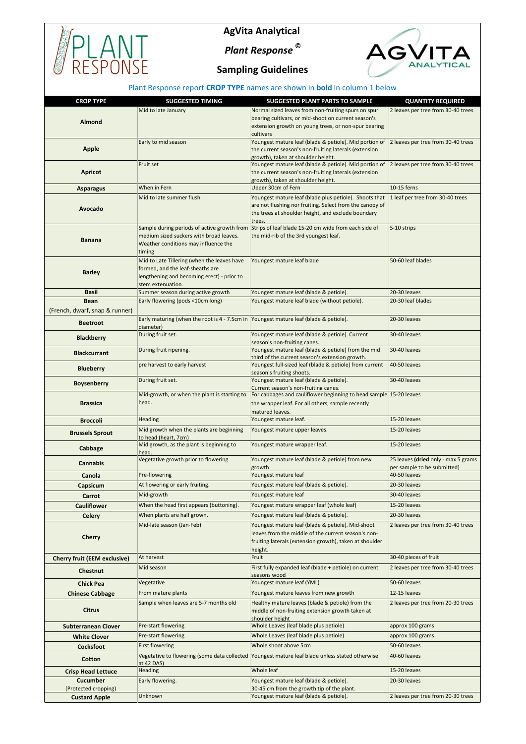

## **AgVita Analytical**

*Plant Response* **©**



## **Sampling Guidelines**

## Plant Response report **CROP TYPE** names are shown in **bold** in column 1 below

| <b>CROP TYPE</b>                    | <b>SUGGESTED TIMING</b>                                                                  | <b>SUGGESTED PLANT PARTS TO SAMPLE</b>                                                                     | <b>QUANTITY REQUIRED</b>                    |
|-------------------------------------|------------------------------------------------------------------------------------------|------------------------------------------------------------------------------------------------------------|---------------------------------------------|
|                                     | Mid to late January                                                                      | Normal sized leaves from non-fruiting spurs on spur                                                        | 2 leaves per tree from 30-40 trees          |
| Almond                              |                                                                                          | bearing cultivars, or mid-shoot on current season's                                                        |                                             |
|                                     |                                                                                          | extension growth on young trees, or non-spur bearing                                                       |                                             |
|                                     | Early to mid season                                                                      | cultivars<br>Youngest mature leaf (blade & petiole). Mid portion of 2 leaves per tree from 30-40 trees     |                                             |
| <b>Apple</b>                        |                                                                                          | the current season's non-fruiting laterals (extension                                                      |                                             |
|                                     |                                                                                          | growth), taken at shoulder height.                                                                         |                                             |
|                                     | Fruit set                                                                                | Youngest mature leaf (blade & petiole). Mid portion of 2 leaves per tree from 30-40 trees                  |                                             |
| <b>Apricot</b>                      |                                                                                          | the current season's non-fruiting laterals (extension<br>growth), taken at shoulder height.                |                                             |
| <b>Asparagus</b>                    | When in Fern                                                                             | Upper 30cm of Fern                                                                                         | 10-15 ferns                                 |
|                                     | Mid to late summer flush                                                                 | Youngest mature leaf (blade plus petiole). Shoots that                                                     | 1 leaf per tree from 30-40 trees            |
| Avocado                             |                                                                                          | are not flushing nor fruiting. Select from the canopy of                                                   |                                             |
|                                     |                                                                                          | the trees at shoulder height, and exclude boundary                                                         |                                             |
|                                     |                                                                                          | trees.<br>Sample during periods of active growth from Strips of leaf blade 15-20 cm wide from each side of | 5-10 strips                                 |
|                                     | medium sized suckers with broad leaves.                                                  | the mid-rib of the 3rd youngest leaf.                                                                      |                                             |
| <b>Banana</b>                       | Weather conditions may influence the                                                     |                                                                                                            |                                             |
|                                     | timing                                                                                   |                                                                                                            |                                             |
|                                     | Mid to Late Tillering (when the leaves have                                              | Youngest mature leaf blade                                                                                 | 50-60 leaf blades                           |
| <b>Barley</b>                       | formed, and the leaf-sheaths are<br>lengthening and becoming erect) - prior to           |                                                                                                            |                                             |
|                                     | stem extenuation.                                                                        |                                                                                                            |                                             |
| <b>Basil</b>                        | Summer season during active growth                                                       | Youngest mature leaf (blade & petiole).                                                                    | 20-30 leaves                                |
| <b>Bean</b>                         | Early flowering (pods <10cm long)                                                        | Youngest mature leaf blade (without petiole).                                                              | 20-30 leaf blades                           |
| (French, dwarf, snap & runner)      |                                                                                          |                                                                                                            |                                             |
| <b>Beetroot</b>                     | Early maturing (when the root is $4 - 7.5$ cm in Youngest mature leaf (blade & petiole). |                                                                                                            | 20-30 leaves                                |
|                                     | diameter)<br>During fruit set.                                                           | Youngest mature leaf (blade & petiole). Current                                                            | 30-40 leaves                                |
| <b>Blackberry</b>                   |                                                                                          | season's non-fruiting canes.                                                                               |                                             |
| <b>Blackcurrant</b>                 | During fruit ripening.                                                                   | Youngest mature leaf (blade & petiole) from the mid                                                        | 30-40 leaves                                |
|                                     | pre harvest to early harvest                                                             | third of the current season's extension growth.<br>Youngest full-sized leaf (blade & petiole) from current | 40-50 leaves                                |
| <b>Blueberry</b>                    |                                                                                          | season's fruiting shoots.                                                                                  |                                             |
| <b>Boysenberry</b>                  | During fruit set.                                                                        | Youngest mature leaf (blade & petiole).                                                                    | 30-40 leaves                                |
|                                     | Mid-growth, or when the plant is starting to                                             | Current season's non-fruiting canes.<br>For cabbages and cauliflower beginning to head sample 15-20 leaves |                                             |
| <b>Brassica</b>                     | head.                                                                                    | the wrapper leaf. For all others, sample recently                                                          |                                             |
|                                     |                                                                                          | matured leaves.                                                                                            |                                             |
| <b>Broccoli</b>                     | Heading                                                                                  | Youngest mature leaf.                                                                                      | 15-20 leaves                                |
| <b>Brussels Sprout</b>              | Mid growth when the plants are beginning                                                 | Youngest mature upper leaves.                                                                              | 15-20 leaves                                |
|                                     | to head (heart, 7cm)<br>Mid growth, as the plant is beginning to                         | Youngest mature wrapper leaf.                                                                              | 15-20 leaves                                |
| Cabbage                             | head.                                                                                    |                                                                                                            |                                             |
| <b>Cannabis</b>                     | Vegetative growth prior to flowering                                                     | Youngest mature leaf (blade & petiole) from new                                                            | 25 leaves (dried only - max 5 grams         |
| Canola                              | Pre-flowering                                                                            | growth<br>Youngest mature leaf                                                                             | per sample to be submitted)<br>40-50 leaves |
| Capsicum                            | At flowering or early fruiting.                                                          | Youngest mature leaf (blade & petiole).                                                                    | 20-30 leaves                                |
|                                     | Mid-growth                                                                               | Youngest mature leaf                                                                                       | 30-40 leaves                                |
| Carrot<br><b>Cauliflower</b>        | When the head first appears (buttoning).                                                 | Youngest mature wrapper leaf (whole leaf)                                                                  | 15-20 leaves                                |
|                                     | When plants are half grown.                                                              | Youngest mature leaf (blade & petiole).                                                                    | 20-30 leaves                                |
| <b>Celery</b>                       | Mid-late season (Jan-Feb)                                                                | Youngest mature leaf (blade & petiole). Mid-shoot                                                          | 2 leaves per tree from 30-40 trees          |
|                                     |                                                                                          | leaves from the middle of the current season's non-                                                        |                                             |
| <b>Cherry</b>                       |                                                                                          | fruiting laterals (extension growth), taken at shoulder                                                    |                                             |
|                                     |                                                                                          | height.                                                                                                    |                                             |
| <b>Cherry fruit (EEM exclusive)</b> | At harvest                                                                               | Fruit                                                                                                      | 30-40 pieces of fruit                       |
| Chestnut                            | Mid season                                                                               | First fully expanded leaf (blade + petiole) on current                                                     | 2 leaves per tree from 30-40 trees          |
| <b>Chick Pea</b>                    | Vegetative                                                                               | seasons wood<br>Youngest mature leaf (YML)                                                                 | 50-60 leaves                                |
| <b>Chinese Cabbage</b>              | From mature plants                                                                       | Youngest mature leaves from new growth                                                                     | 12-15 leaves                                |
|                                     | Sample when leaves are 5-7 months old                                                    | Healthy mature leaves (blade & petiole) from the                                                           | 2 leaves per tree from 20-30 trees          |
| <b>Citrus</b>                       |                                                                                          | middle of non-fruiting extension growth taken at                                                           |                                             |
|                                     |                                                                                          | shoulder height                                                                                            |                                             |
| <b>Subterranean Clover</b>          | Pre-start flowering                                                                      | Whole Leaves (leaf blade plus petiole)                                                                     | approx 100 grams                            |
| <b>White Clover</b>                 | Pre-start flowering                                                                      | Whole Leaves (leaf blade plus petiole)                                                                     | approx 100 grams                            |
| <b>Cocksfoot</b>                    | <b>First flowering</b>                                                                   | Whole shoot above 5cm                                                                                      | 50-60 leaves                                |
| Cotton                              | at 42 DAS)                                                                               | Vegetative to flowering (some data collected  Youngest mature leaf blade unless stated otherwise           | 40-60 leaves                                |
| <b>Crisp Head Lettuce</b>           | Heading                                                                                  | Whole leaf                                                                                                 | 15-20 leaves                                |
| <b>Cucumber</b>                     | Early flowering.                                                                         | Youngest mature leaf (blade & petiole).                                                                    | 20-30 leaves                                |
| (Protected cropping)                |                                                                                          | 30-45 cm from the growth tip of the plant.                                                                 |                                             |
| <b>Custard Apple</b>                | Unknown                                                                                  | Youngest mature leaf (blade & petiole).                                                                    | 2 leaves per tree from 20-30 trees          |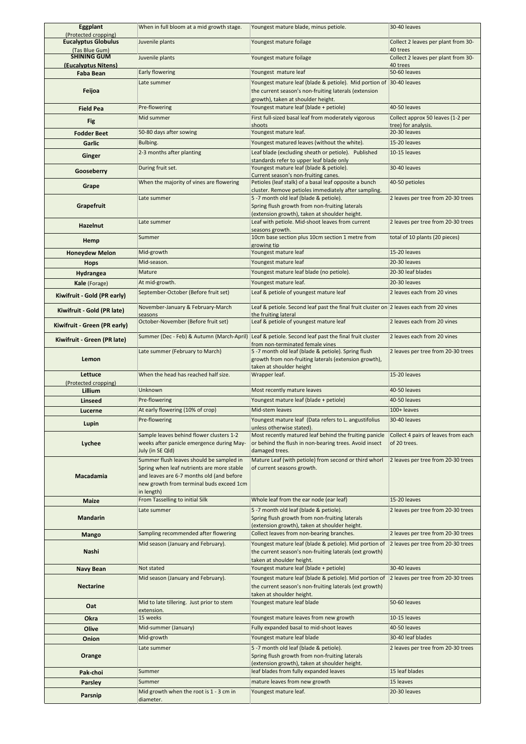| <b>Eggplant</b><br>(Protected cropping)   | When in full bloom at a mid growth stage.                                               | Youngest mature blade, minus petiole.                                                                                                                | 30-40 leaves                                    |
|-------------------------------------------|-----------------------------------------------------------------------------------------|------------------------------------------------------------------------------------------------------------------------------------------------------|-------------------------------------------------|
| <b>Eucalyptus Globulus</b>                | Juvenile plants                                                                         | Youngest mature foilage                                                                                                                              | Collect 2 leaves per plant from 30-             |
| (Tas Blue Gum)                            |                                                                                         |                                                                                                                                                      | 40 trees                                        |
| <b>SHINING GUM</b><br>(Eucalyptus Nitens) | Juvenile plants                                                                         | Youngest mature foilage                                                                                                                              | Collect 2 leaves per plant from 30-<br>40 trees |
| <b>Faba Bean</b>                          | Early flowering                                                                         | Youngest mature leaf                                                                                                                                 | 50-60 leaves                                    |
|                                           | Late summer                                                                             | Youngest mature leaf (blade & petiole). Mid portion of 30-40 leaves                                                                                  |                                                 |
| Feijoa                                    |                                                                                         | the current season's non-fruiting laterals (extension                                                                                                |                                                 |
| <b>Field Pea</b>                          | Pre-flowering                                                                           | growth), taken at shoulder height.<br>Youngest mature leaf (blade + petiole)                                                                         | 40-50 leaves                                    |
|                                           | Mid summer                                                                              | First full-sized basal leaf from moderately vigorous                                                                                                 | Collect approx 50 leaves (1-2 per               |
| <b>Fig</b>                                |                                                                                         | shoots                                                                                                                                               | tree) for analysis.                             |
| <b>Fodder Beet</b>                        | 50-80 days after sowing                                                                 | Youngest mature leaf.                                                                                                                                | 20-30 leaves                                    |
| Garlic                                    | Bulbing.                                                                                | Youngest matured leaves (without the white).                                                                                                         | 15-20 leaves                                    |
| Ginger                                    | 2-3 months after planting                                                               | Leaf blade (excluding sheath or petiole). Published<br>standards refer to upper leaf blade only                                                      | 10-15 leaves                                    |
| Gooseberry                                | During fruit set.                                                                       | Youngest mature leaf (blade & petiole).                                                                                                              | 30-40 leaves                                    |
|                                           | When the majority of vines are flowering                                                | Current season's non-fruiting canes.<br>Petioles (leaf stalk) of a basal leaf opposite a bunch                                                       | 40-50 petioles                                  |
| Grape                                     |                                                                                         | cluster. Remove petioles immediately after sampling.                                                                                                 |                                                 |
|                                           | Late summer                                                                             | 5 -7 month old leaf (blade & petiole).                                                                                                               | 2 leaves per tree from 20-30 trees              |
| Grapefruit                                |                                                                                         | Spring flush growth from non-fruiting laterals<br>(extension growth), taken at shoulder height.                                                      |                                                 |
|                                           | Late summer                                                                             | Leaf with petiole. Mid-shoot leaves from current                                                                                                     | 2 leaves per tree from 20-30 trees              |
| <b>Hazelnut</b>                           |                                                                                         | seasons growth.                                                                                                                                      |                                                 |
| Hemp                                      | Summer                                                                                  | 10cm base section plus 10cm section 1 metre from<br>growing tip                                                                                      | total of 10 plants (20 pieces)                  |
| <b>Honeydew Melon</b>                     | Mid-growth                                                                              | Youngest mature leaf                                                                                                                                 | 15-20 leaves                                    |
| <b>Hops</b>                               | Mid-season.                                                                             | Youngest mature leaf                                                                                                                                 | 20-30 leaves                                    |
| Hydrangea                                 | Mature                                                                                  | Youngest mature leaf blade (no petiole).                                                                                                             | 20-30 leaf blades                               |
| Kale (Forage)                             | At mid-growth.                                                                          | Youngest mature leaf.                                                                                                                                | 20-30 leaves                                    |
| Kiwifruit - Gold (PR early)               | September-October (Before fruit set)                                                    | Leaf & petiole of youngest mature leaf                                                                                                               | 2 leaves each from 20 vines                     |
|                                           | November-January & February-March                                                       | Leaf & petiole. Second leaf past the final fruit cluster on $2$ leaves each from 20 vines                                                            |                                                 |
| Kiwifruit - Gold (PR late)                | seasons                                                                                 | the fruiting lateral                                                                                                                                 |                                                 |
| Kiwifruit - Green (PR early)              | October-November (Before fruit set)                                                     | Leaf & petiole of youngest mature leaf                                                                                                               | 2 leaves each from 20 vines                     |
| Kiwifruit - Green (PR late)               | Summer (Dec - Feb) & Autumn (March-April)                                               | Leaf & petiole. Second leaf past the final fruit cluster                                                                                             | 2 leaves each from 20 vines                     |
|                                           | Late summer (February to March)                                                         | from non-terminated female vines<br>5 -7 month old leaf (blade & petiole). Spring flush                                                              | 2 leaves per tree from 20-30 trees              |
| Lemon                                     |                                                                                         | growth from non-fruiting laterals (extension growth),                                                                                                |                                                 |
|                                           |                                                                                         | taken at shoulder height                                                                                                                             |                                                 |
| Lettuce<br>(Protected cropping)           | When the head has reached half size.                                                    | Wrapper leaf.                                                                                                                                        | 15-20 leaves                                    |
| Lillium                                   | Unknown                                                                                 | Most recently mature leaves                                                                                                                          | 40-50 leaves                                    |
| <b>Linseed</b>                            | Pre-flowering                                                                           | Youngest mature leaf (blade + petiole)                                                                                                               | 40-50 leaves                                    |
| Lucerne                                   | At early flowering (10% of crop)                                                        | Mid-stem leaves                                                                                                                                      | 100+ leaves                                     |
| Lupin                                     | Pre-flowering                                                                           | Youngest mature leaf (Data refers to L. angustifolius                                                                                                | 30-40 leaves                                    |
|                                           | Sample leaves behind flower clusters 1-2                                                | unless otherwise stated).<br>Most recently matured leaf behind the fruiting panicle                                                                  | Collect 4 pairs of leaves from each             |
| Lychee                                    | weeks after panicle emergence during May-                                               | or behind the flush in non-bearing trees. Avoid insect                                                                                               | of 20 trees.                                    |
|                                           | July (in SE Qld)                                                                        | damaged trees.                                                                                                                                       |                                                 |
|                                           | Summer flush leaves should be sampled in                                                | Mature Leaf (with petiole) from second or third whorl<br>of current seasons growth.                                                                  | 2 leaves per tree from 20-30 trees              |
| Macadamia                                 | Spring when leaf nutrients are more stable<br>and leaves are 6-7 months old (and before |                                                                                                                                                      |                                                 |
|                                           | new growth from terminal buds exceed 1cm                                                |                                                                                                                                                      |                                                 |
|                                           | in length)                                                                              |                                                                                                                                                      | 15-20 leaves                                    |
| Maize                                     | From Tasselling to initial Silk<br>Late summer                                          | Whole leaf from the ear node (ear leaf)<br>5 -7 month old leaf (blade & petiole).                                                                    | 2 leaves per tree from 20-30 trees              |
| <b>Mandarin</b>                           |                                                                                         | Spring flush growth from non-fruiting laterals                                                                                                       |                                                 |
|                                           |                                                                                         | (extension growth), taken at shoulder height.                                                                                                        |                                                 |
| Mango                                     | Sampling recommended after flowering                                                    | Collect leaves from non-bearing branches.                                                                                                            | 2 leaves per tree from 20-30 trees              |
| Nashi                                     | Mid season (January and February).                                                      | Youngest mature leaf (blade & petiole). Mid portion of 2 leaves per tree from 20-30 trees<br>the current season's non-fruiting laterals (ext growth) |                                                 |
|                                           |                                                                                         | taken at shoulder height.                                                                                                                            |                                                 |
| <b>Navy Bean</b>                          | Not stated                                                                              | Youngest mature leaf (blade + petiole)                                                                                                               | 30-40 leaves                                    |
|                                           | Mid season (January and February).                                                      | Youngest mature leaf (blade & petiole). Mid portion of                                                                                               | 2 leaves per tree from 20-30 trees              |
| <b>Nectarine</b>                          |                                                                                         | the current season's non-fruiting laterals (ext growth)<br>taken at shoulder height.                                                                 |                                                 |
| Oat                                       | Mid to late tillering. Just prior to stem                                               | Youngest mature leaf blade                                                                                                                           | 50-60 leaves                                    |
|                                           | extension.                                                                              |                                                                                                                                                      |                                                 |
| Okra                                      | 15 weeks<br>Mid-summer (January)                                                        | Youngest mature leaves from new growth<br>Fully expanded basal to mid-shoot leaves                                                                   | 10-15 leaves<br>40-50 leaves                    |
| Olive                                     | Mid-growth                                                                              | Youngest mature leaf blade                                                                                                                           | 30-40 leaf blades                               |
| Onion                                     | Late summer                                                                             | 5 -7 month old leaf (blade & petiole).                                                                                                               | 2 leaves per tree from 20-30 trees              |
| Orange                                    |                                                                                         | Spring flush growth from non-fruiting laterals                                                                                                       |                                                 |
|                                           |                                                                                         | (extension growth), taken at shoulder height.                                                                                                        |                                                 |
| Pak-choi                                  | Summer                                                                                  | leaf blades from fully expanded leaves                                                                                                               | 15 leaf blades                                  |
| Parsley                                   |                                                                                         |                                                                                                                                                      |                                                 |
|                                           | Summer<br>Mid growth when the root is 1 - 3 cm in                                       | mature leaves from new growth<br>Youngest mature leaf.                                                                                               | 15 leaves<br>20-30 leaves                       |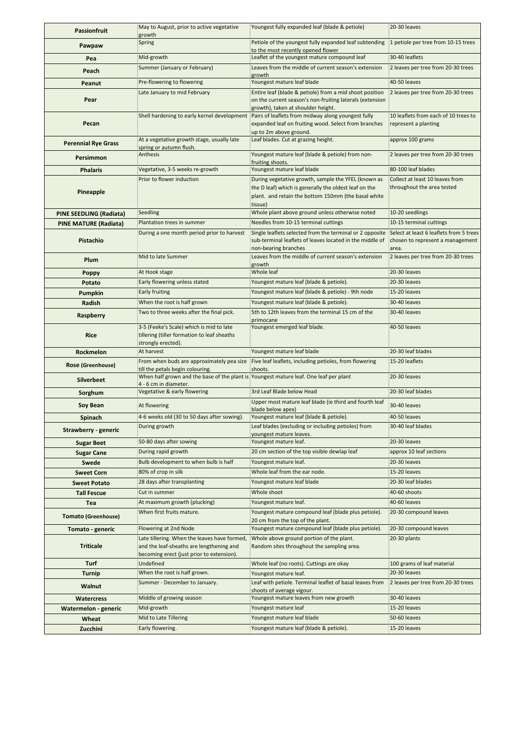| <b>Passionfruit</b>          | May to August, prior to active vegetative<br>growth                                                            | Youngest fully expanded leaf (blade & petiole)                                                                                                               | 20-30 leaves                                                  |
|------------------------------|----------------------------------------------------------------------------------------------------------------|--------------------------------------------------------------------------------------------------------------------------------------------------------------|---------------------------------------------------------------|
| Pawpaw                       | Spring                                                                                                         | Petiole of the youngest fully expanded leaf subtending                                                                                                       | 1 petiole per tree from 10-15 trees                           |
| Pea                          | Mid-growth                                                                                                     | to the most recently opened flower<br>Leaflet of the youngest mature compound leaf                                                                           | 30-40 leaflets                                                |
| Peach                        | Summer (January or February)                                                                                   | Leaves from the middle of current season's extension                                                                                                         | 2 leaves per tree from 20-30 trees                            |
|                              | Pre-flowering to flowering                                                                                     | growth<br>Youngest mature leaf blade                                                                                                                         | 40-50 leaves                                                  |
| Peanut                       | Late January to mid February                                                                                   | Entire leaf (blade & petiole) from a mid shoot position                                                                                                      | 2 leaves per tree from 20-30 trees                            |
| Pear                         |                                                                                                                | on the current season's non-fruiting laterals (extension                                                                                                     |                                                               |
|                              | Shell hardening to early kernel development                                                                    | growth), taken at shoulder height.<br>Pairs of leaflets from midway along youngest fully                                                                     | 10 leaflets from each of 10 trees to                          |
| Pecan                        |                                                                                                                | expanded leaf on fruiting wood. Select from branches                                                                                                         | represent a planting                                          |
|                              | At a vegetative growth stage, usually late                                                                     | up to 2m above ground.<br>Leaf blades. Cut at grazing height.                                                                                                | approx 100 grams                                              |
| <b>Perennial Rye Grass</b>   | spring or autumn flush.                                                                                        |                                                                                                                                                              |                                                               |
| Persimmon                    | Anthesis                                                                                                       | Youngest mature leaf (blade & petiole) from non-<br>fruiting shoots.                                                                                         | 2 leaves per tree from 20-30 trees                            |
| <b>Phalaris</b>              | Vegetative, 3-5 weeks re-growth                                                                                | Youngest mature leaf blade                                                                                                                                   | 80-100 leaf blades                                            |
|                              | Prior to flower induction                                                                                      | During vegetative growth, sample the YFEL (known as                                                                                                          | Collect at least 10 leaves from<br>throughout the area tested |
| Pineapple                    |                                                                                                                | the D leaf) which is generally the oldest leaf on the<br>plant. and retain the bottom 150mm (the basal white                                                 |                                                               |
|                              |                                                                                                                | tissue)                                                                                                                                                      |                                                               |
| PINE SEEDLING (Radiata)      | Seedling                                                                                                       | Whole plant above ground unless otherwise noted                                                                                                              | 10-20 seedlings                                               |
| <b>PINE MATURE (Radiata)</b> | Plantation trees in summer                                                                                     | Needles from 10-15 terminal cuttings                                                                                                                         | 10-15 terminal cuttings                                       |
| Pistachio                    | During a one month period prior to harvest                                                                     | Single leaflets selected from the terminal or 2 opposite Select at least 6 leaflets from 5 trees<br>sub-terminal leaflets of leaves located in the middle of | chosen to represent a management                              |
|                              |                                                                                                                | non-bearing branches                                                                                                                                         | area.                                                         |
| Plum                         | Mid to late Summer                                                                                             | Leaves from the middle of current season's extension<br>growth                                                                                               | 2 leaves per tree from 20-30 trees                            |
| Poppy                        | At Hook stage                                                                                                  | Whole leaf                                                                                                                                                   | 20-30 leaves                                                  |
| Potato                       | Early flowering unless stated                                                                                  | Youngest mature leaf (blade & petiole).                                                                                                                      | 20-30 leaves                                                  |
| Pumpkin                      | Early fruiting                                                                                                 | Youngest mature leaf (blade & petiole) - 9th node                                                                                                            | 15-20 leaves                                                  |
| Radish                       | When the root is half grown                                                                                    | Youngest mature leaf (blade & petiole).                                                                                                                      | 30-40 leaves                                                  |
| Raspberry                    | Two to three weeks after the final pick.                                                                       | 5th to 12th leaves from the terminal 15 cm of the<br>primocane                                                                                               | 30-40 leaves                                                  |
| Rice                         | 3-5 (Feeke's Scale) which is mid to late<br>tillering (tiller formation to leaf sheaths<br>strongly erected).  | Youngest emerged leaf blade.                                                                                                                                 | 40-50 leaves                                                  |
| Rockmelon                    | At harvest                                                                                                     | Youngest mature leaf blade                                                                                                                                   | 20-30 leaf blades                                             |
| Rose (Greenhouse)            | From when buds are approximately pea size<br>till the petals begin colouring.                                  | Five leaf leaflets, including petioles, from flowering<br>shoots.                                                                                            | 15-20 leaflets                                                |
| <b>Silverbeet</b>            | When half grown and the base of the plant is Youngest mature leaf. One leaf per plant<br>4 - 6 cm in diameter. |                                                                                                                                                              | 20-30 leaves                                                  |
| Sorghum                      | Vegetative & early flowering                                                                                   | 3rd Leaf Blade below Head                                                                                                                                    | 20-30 leaf blades                                             |
| Soy Bean                     | At flowering                                                                                                   | Upper most mature leaf blade (ie third and fourth leaf                                                                                                       | 30-40 leaves                                                  |
| Spinach                      | 4-6 weeks old (30 to 50 days after sowing).                                                                    | blade below apex)<br>Youngest mature leaf (blade & petiole).                                                                                                 | 40-50 leaves                                                  |
| <b>Strawberry - generic</b>  | During growth                                                                                                  | Leaf blades (excluding or including petioles) from                                                                                                           | 30-40 leaf blades                                             |
|                              |                                                                                                                | youngest mature leaves.<br>Youngest mature leaf.                                                                                                             | 20-30 leaves                                                  |
| <b>Sugar Beet</b>            | 50-80 days after sowing<br>During rapid growth                                                                 | 20 cm section of the top visible dewlap leaf                                                                                                                 |                                                               |
| <b>Sugar Cane</b>            | Bulb development to when bulb is half                                                                          | Youngest mature leaf.                                                                                                                                        | approx 10 leaf sections<br>20-30 leaves                       |
| Swede                        | 80% of crop in silk                                                                                            | Whole leaf from the ear node.                                                                                                                                | 15-20 leaves                                                  |
| <b>Sweet Corn</b>            | 28 days after transplanting                                                                                    | Youngest mature leaf blade                                                                                                                                   | 20-30 leaf blades                                             |
| <b>Sweet Potato</b>          | Cut in summer                                                                                                  | Whole shoot                                                                                                                                                  | 40-60 shoots                                                  |
| <b>Tall Fescue</b>           | At maximum growth (plucking)                                                                                   | Youngest mature leaf.                                                                                                                                        | 40-60 leaves                                                  |
| Tea                          | When first fruits mature.                                                                                      | Youngest mature compound leaf (blade plus petiole).                                                                                                          | 20-30 compound leaves                                         |
| <b>Tomato (Greenhouse)</b>   | Flowering at 2nd Node                                                                                          | 20 cm from the top of the plant.<br>Youngest mature compound leaf (blade plus petiole).                                                                      | 20-30 compound leaves                                         |
| Tomato - generic             | Late tillering. When the leaves have formed,                                                                   | Whole above ground portion of the plant.                                                                                                                     | 20-30 plants                                                  |
| <b>Triticale</b>             | and the leaf-sheaths are lengthening and<br>becoming erect (just prior to extension).                          | Random sites throughout the sampling area.                                                                                                                   |                                                               |
| Turf                         | Undefined                                                                                                      | Whole leaf (no roots). Cuttings are okay                                                                                                                     | 100 grams of leaf material                                    |
| <b>Turnip</b>                | When the root is half grown.                                                                                   | Youngest mature leaf.                                                                                                                                        | 20-30 leaves                                                  |
| Walnut                       | Summer - December to January.                                                                                  | Leaf with petiole. Terminal leaflet of basal leaves from<br>shoots of average vigour.                                                                        | 2 leaves per tree from 20-30 trees                            |
| <b>Watercress</b>            | Middle of growing season                                                                                       | Youngest mature leaves from new growth                                                                                                                       | 30-40 leaves                                                  |
| Watermelon - generic         | Mid-growth                                                                                                     | Youngest mature leaf                                                                                                                                         | 15-20 leaves                                                  |
| Wheat                        | Mid to Late Tillering                                                                                          | Youngest mature leaf blade                                                                                                                                   | 50-60 leaves                                                  |
| Zucchini                     | Early flowering.                                                                                               | Youngest mature leaf (blade & petiole).                                                                                                                      | 15-20 leaves                                                  |